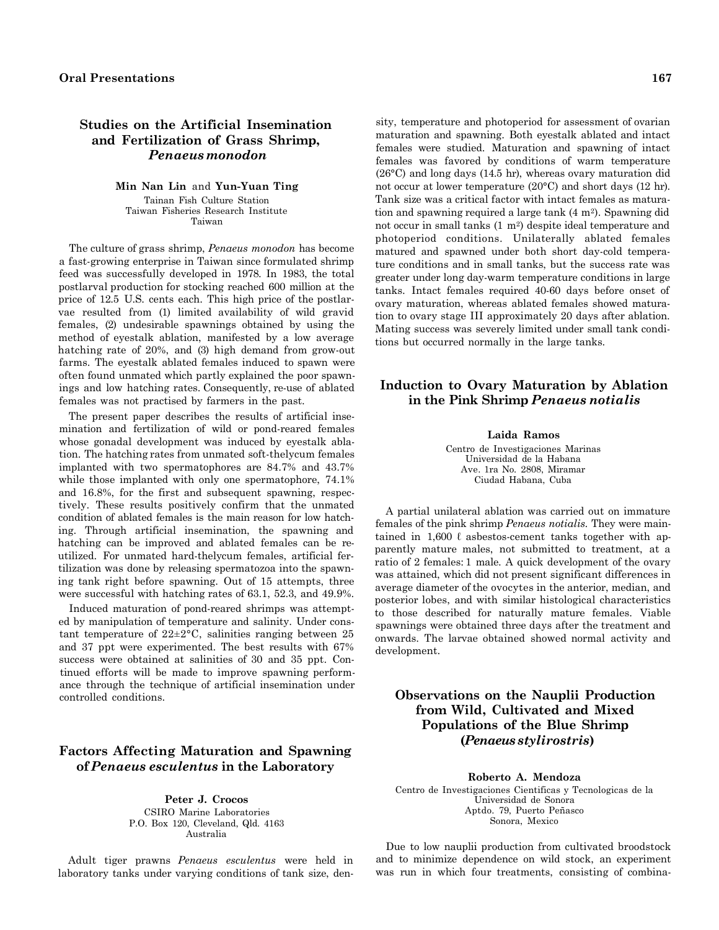## **Studies on the Artificial Insemination and Fertilization of Grass Shrimp,**  *Penaeus monodon*

#### **Min Nan Lin** and **Yun-Yuan Ting**  Tainan Fish Culture Station Taiwan Fisheries Research Institute Taiwan

The culture of grass shrimp, *Penaeus monodon* has become a fast-growing enterprise in Taiwan since formulated shrimp feed was successfully developed in 1978. In 1983, the total postlarval production for stocking reached 600 million at the price of 12.5 U.S. cents each. This high price of the postlarvae resulted from (1) limited availability of wild gravid females, (2) undesirable spawnings obtained by using the method of eyestalk ablation, manifested by a low average hatching rate of 20%, and (3) high demand from grow-out farms. The eyestalk ablated females induced to spawn were often found unmated which partly explained the poor spawnings and low hatching rates. Consequently, re-use of ablated females was not practised by farmers in the past.

The present paper describes the results of artificial insemination and fertilization of wild or pond-reared females whose gonadal development was induced by eyestalk ablation. The hatching rates from unmated soft-thelycum females implanted with two spermatophores are 84.7% and 43.7% while those implanted with only one spermatophore,  $74.1\%$ and 16.8%, for the first and subsequent spawning, respectively. These results positively confirm that the unmated condition of ablated females is the main reason for low hatching. Through artificial insemination, the spawning and hatching can be improved and ablated females can be reutilized. For unmated hard-thelycum females, artificial fertilization was done by releasing spermatozoa into the spawning tank right before spawning. Out of 15 attempts, three were successful with hatching rates of 63.1, 52.3, and 49.9%.

Induced maturation of pond-reared shrimps was attempted by manipulation of temperature and salinity. Under constant temperature of  $22 \pm 2^{\circ}$ C, salinities ranging between 25 and 37 ppt were experimented. The best results with 67% success were obtained at salinities of 30 and 35 ppt. Continued efforts will be made to improve spawning performance through the technique of artificial insemination under controlled conditions.

## **Factors Affecting Maturation and Spawning of** *Penaeus esculentus* **in the Laboratory**

**Peter J. Crocos**  CSIRO Marine Laboratories P.O. Box 120, Cleveland, Qld. 4163 Australia

Adult tiger prawns *Penaeus esculentus* were held in laboratory tanks under varying conditions of tank size, den-

sity, temperature and photoperiod for assessment of ovarian maturation and spawning. Both eyestalk ablated and intact females were studied. Maturation and spawning of intact females was favored by conditions of warm temperature (26°C) and long days (14.5 hr), whereas ovary maturation did not occur at lower temperature (20°C) and short days (12 hr). Tank size was a critical factor with intact females as maturation and spawning required a large tank (4 m2). Spawning did not occur in small tanks (1 m2) despite ideal temperature and photoperiod conditions. Unilaterally ablated females matured and spawned under both short day-cold temperature conditions and in small tanks, but the success rate was greater under long day-warm temperature conditions in large tanks. Intact females required 40-60 days before onset of ovary maturation, whereas ablated females showed maturation to ovary stage III approximately 20 days after ablation. Mating success was severely limited under small tank conditions but occurred normally in the large tanks.

# **Induction to Ovary Maturation by Ablation in the Pink Shrimp** *Penaeus notialis*

#### **Laida Ramos**

Centro de Investigaciones Marinas Universidad de la Habana Ave. 1ra No. 2808, Miramar Ciudad Habana, Cuba

A partial unilateral ablation was carried out on immature females of the pink shrimp *Penaeus notialis.* They were maintained in  $1,600 \ell$  asbestos-cement tanks together with apparently mature males, not submitted to treatment, at a ratio of 2 females: 1 male. A quick development of the ovary was attained, which did not present significant differences in average diameter of the ovocytes in the anterior, median, and posterior lobes, and with similar histological characteristics to those described for naturally mature females. Viable spawnings were obtained three days after the treatment and onwards. The larvae obtained showed normal activity and development.

# **Observations on the Nauplii Production from Wild, Cultivated and Mixed Populations of the Blue Shrimp (***Penaeus stylirostris***)**

**Roberto A. Mendoza** 

Centro de Investigaciones Cientificas y Tecnologicas de la Universidad de Sonora Aptdo. 79, Puerto Peñasco Sonora, Mexico

Due to low nauplii production from cultivated broodstock and to minimize dependence on wild stock, an experiment was run in which four treatments, consisting of combina-